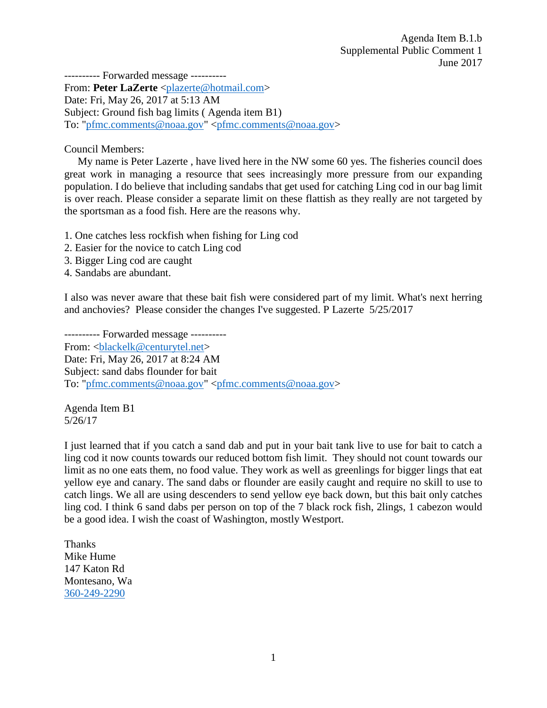---------- Forwarded message ---------- From: Peter LaZerte [<plazerte@hotmail.com>](mailto:plazerte@hotmail.com) Date: Fri, May 26, 2017 at 5:13 AM Subject: Ground fish bag limits ( Agenda item B1) To: ["pfmc.comments@noaa.gov"](mailto:pfmc.comments@noaa.gov) [<pfmc.comments@noaa.gov>](mailto:pfmc.comments@noaa.gov)

Council Members:

My name is Peter Lazerte , have lived here in the NW some 60 yes. The fisheries council does great work in managing a resource that sees increasingly more pressure from our expanding population. I do believe that including sandabs that get used for catching Ling cod in our bag limit is over reach. Please consider a separate limit on these flattish as they really are not targeted by the sportsman as a food fish. Here are the reasons why.

- 1. One catches less rockfish when fishing for Ling cod
- 2. Easier for the novice to catch Ling cod
- 3. Bigger Ling cod are caught
- 4. Sandabs are abundant.

I also was never aware that these bait fish were considered part of my limit. What's next herring and anchovies? Please consider the changes I've suggested. P Lazerte 5/25/2017

---------- Forwarded message ---------- From: <br/> <br/> <br/> <br/> <br/>  $\&$  enturytel.net> Date: Fri, May 26, 2017 at 8:24 AM Subject: sand dabs flounder for bait To: ["pfmc.comments@noaa.gov"](mailto:pfmc.comments@noaa.gov) [<pfmc.comments@noaa.gov>](mailto:pfmc.comments@noaa.gov)

Agenda Item B1 5/26/17

I just learned that if you catch a sand dab and put in your bait tank live to use for bait to catch a ling cod it now counts towards our reduced bottom fish limit. They should not count towards our limit as no one eats them, no food value. They work as well as greenlings for bigger lings that eat yellow eye and canary. The sand dabs or flounder are easily caught and require no skill to use to catch lings. We all are using descenders to send yellow eye back down, but this bait only catches ling cod. I think 6 sand dabs per person on top of the 7 black rock fish, 2lings, 1 cabezon would be a good idea. I wish the coast of Washington, mostly Westport.

Thanks Mike Hume 147 Katon Rd Montesano, Wa [360-249-2290](tel:(360)%20249-2290)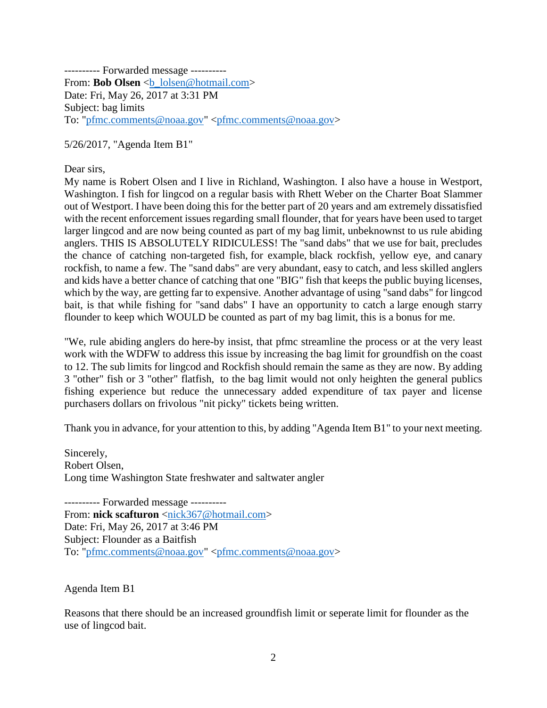---------- Forwarded message ---------- From: **Bob Olsen** <br/>b lolsen@hotmail.com> Date: Fri, May 26, 2017 at 3:31 PM Subject: bag limits To: ["pfmc.comments@noaa.gov"](mailto:pfmc.comments@noaa.gov) [<pfmc.comments@noaa.gov>](mailto:pfmc.comments@noaa.gov)

5/26/2017, "Agenda Item B1"

Dear sirs.

My name is Robert Olsen and I live in Richland, Washington. I also have a house in Westport, Washington. I fish for lingcod on a regular basis with Rhett Weber on the Charter Boat Slammer out of Westport. I have been doing this for the better part of 20 years and am extremely dissatisfied with the recent enforcement issues regarding small flounder, that for years have been used to target larger lingcod and are now being counted as part of my bag limit, unbeknownst to us rule abiding anglers. THIS IS ABSOLUTELY RIDICULESS! The "sand dabs" that we use for bait, precludes the chance of catching non-targeted fish, for example, black rockfish, yellow eye, and canary rockfish, to name a few. The "sand dabs" are very abundant, easy to catch, and less skilled anglers and kids have a better chance of catching that one "BIG" fish that keeps the public buying licenses, which by the way, are getting far to expensive. Another advantage of using "sand dabs" for lingcod bait, is that while fishing for "sand dabs" I have an opportunity to catch a large enough starry flounder to keep which WOULD be counted as part of my bag limit, this is a bonus for me.

"We, rule abiding anglers do here-by insist, that pfmc streamline the process or at the very least work with the WDFW to address this issue by increasing the bag limit for groundfish on the coast to 12. The sub limits for lingcod and Rockfish should remain the same as they are now. By adding 3 "other" fish or 3 "other" flatfish, to the bag limit would not only heighten the general publics fishing experience but reduce the unnecessary added expenditure of tax payer and license purchasers dollars on frivolous "nit picky" tickets being written.

Thank you in advance, for your attention to this, by adding "Agenda Item B1" to your next meeting.

Sincerely, Robert Olsen, Long time Washington State freshwater and saltwater angler

---------- Forwarded message ---------- From: **nick scafturon** [<nick367@hotmail.com>](mailto:nick367@hotmail.com) Date: Fri, May 26, 2017 at 3:46 PM Subject: Flounder as a Baitfish To: ["pfmc.comments@noaa.gov"](mailto:pfmc.comments@noaa.gov) [<pfmc.comments@noaa.gov>](mailto:pfmc.comments@noaa.gov)

Agenda Item B1

Reasons that there should be an increased groundfish limit or seperate limit for flounder as the use of lingcod bait.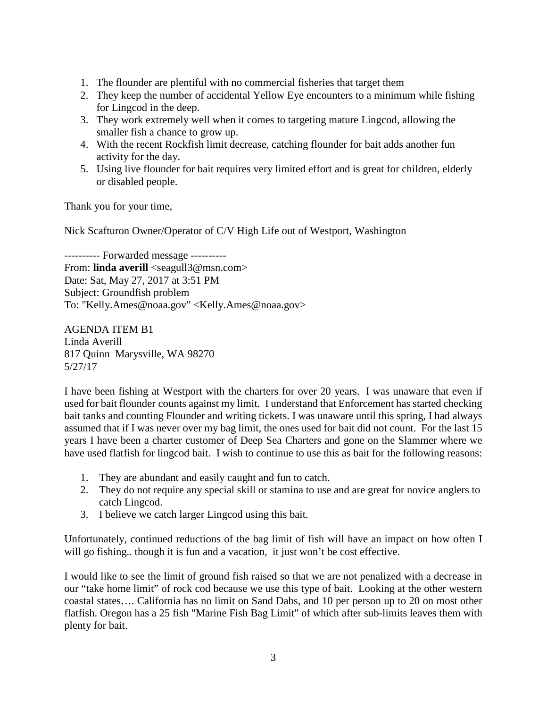- 1. The flounder are plentiful with no commercial fisheries that target them
- 2. They keep the number of accidental Yellow Eye encounters to a minimum while fishing for Lingcod in the deep.
- 3. They work extremely well when it comes to targeting mature Lingcod, allowing the smaller fish a chance to grow up.
- 4. With the recent Rockfish limit decrease, catching flounder for bait adds another fun activity for the day.
- 5. Using live flounder for bait requires very limited effort and is great for children, elderly or disabled people.

Thank you for your time,

Nick Scafturon Owner/Operator of C/V High Life out of Westport, Washington

---------- Forwarded message ---------- From: **linda averill** <seagull3@msn.com> Date: Sat, May 27, 2017 at 3:51 PM Subject: Groundfish problem To: "Kelly.Ames@noaa.gov" <Kelly.Ames@noaa.gov>

AGENDA ITEM B1 Linda Averill 817 Quinn Marysville, WA 98270 5/27/17

I have been fishing at Westport with the charters for over 20 years. I was unaware that even if used for bait flounder counts against my limit. I understand that Enforcement has started checking bait tanks and counting Flounder and writing tickets. I was unaware until this spring, I had always assumed that if I was never over my bag limit, the ones used for bait did not count. For the last 15 years I have been a charter customer of Deep Sea Charters and gone on the Slammer where we have used flatfish for lingcod bait. I wish to continue to use this as bait for the following reasons:

- 1. They are abundant and easily caught and fun to catch.
- 2. They do not require any special skill or stamina to use and are great for novice anglers to catch Lingcod.
- 3. I believe we catch larger Lingcod using this bait.

Unfortunately, continued reductions of the bag limit of fish will have an impact on how often I will go fishing.. though it is fun and a vacation, it just won't be cost effective.

I would like to see the limit of ground fish raised so that we are not penalized with a decrease in our "take home limit" of rock cod because we use this type of bait. Looking at the other western coastal states…. California has no limit on Sand Dabs, and 10 per person up to 20 on most other flatfish. Oregon has a 25 fish "Marine Fish Bag Limit" of which after sub-limits leaves them with plenty for bait.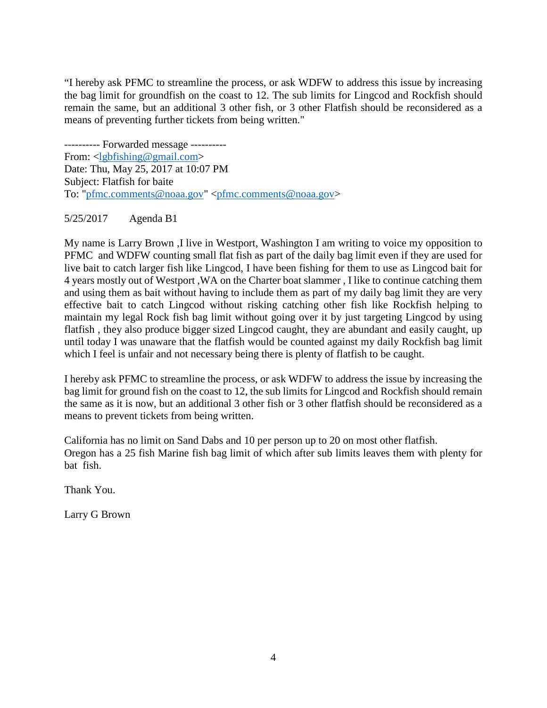"I hereby ask PFMC to streamline the process, or ask WDFW to address this issue by increasing the bag limit for groundfish on the coast to 12. The sub limits for Lingcod and Rockfish should remain the same, but an additional 3 other fish, or 3 other Flatfish should be reconsidered as a means of preventing further tickets from being written."

---------- Forwarded message ---------- From: [<lgbfishing@gmail.com>](mailto:lgbfishing@gmail.com) Date: Thu, May 25, 2017 at 10:07 PM Subject: Flatfish for baite To: ["pfmc.comments@noaa.gov"](mailto:pfmc.comments@noaa.gov) [<pfmc.comments@noaa.gov>](mailto:pfmc.comments@noaa.gov)

## 5/25/2017 Agenda B1

My name is Larry Brown ,I live in Westport, Washington I am writing to voice my opposition to PFMC and WDFW counting small flat fish as part of the daily bag limit even if they are used for live bait to catch larger fish like Lingcod, I have been fishing for them to use as Lingcod bait for 4 years mostly out of Westport ,WA on the Charter boat slammer , I like to continue catching them and using them as bait without having to include them as part of my daily bag limit they are very effective bait to catch Lingcod without risking catching other fish like Rockfish helping to maintain my legal Rock fish bag limit without going over it by just targeting Lingcod by using flatfish , they also produce bigger sized Lingcod caught, they are abundant and easily caught, up until today I was unaware that the flatfish would be counted against my daily Rockfish bag limit which I feel is unfair and not necessary being there is plenty of flatfish to be caught.

I hereby ask PFMC to streamline the process, or ask WDFW to address the issue by increasing the bag limit for ground fish on the coast to 12, the sub limits for Lingcod and Rockfish should remain the same as it is now, but an additional 3 other fish or 3 other flatfish should be reconsidered as a means to prevent tickets from being written.

California has no limit on Sand Dabs and 10 per person up to 20 on most other flatfish. Oregon has a 25 fish Marine fish bag limit of which after sub limits leaves them with plenty for bat fish.

Thank You.

Larry G Brown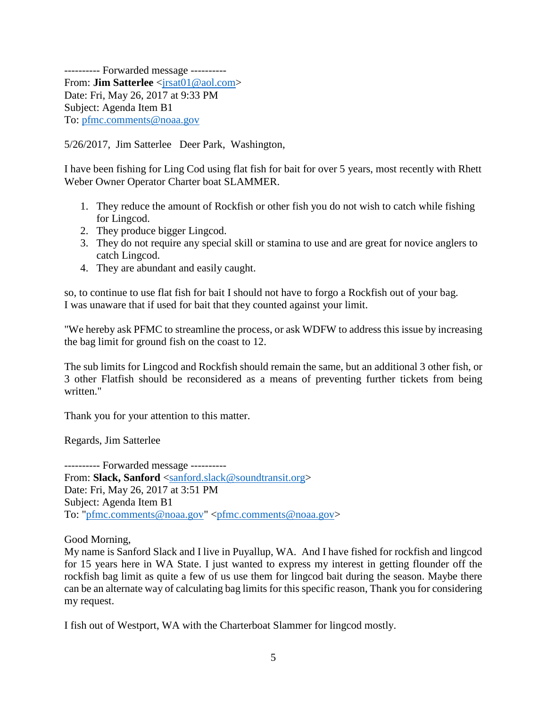---------- Forwarded message ---------- From: **Jim Satterlee** <*jrsat01@aol.com>* Date: Fri, May 26, 2017 at 9:33 PM Subject: Agenda Item B1 To: [pfmc.comments@noaa.gov](mailto:pfmc.comments@noaa.gov)

5/26/2017, Jim Satterlee Deer Park, Washington,

I have been fishing for Ling Cod using flat fish for bait for over 5 years, most recently with Rhett Weber Owner Operator Charter boat SLAMMER.

- 1. They reduce the amount of Rockfish or other fish you do not wish to catch while fishing for Lingcod.
- 2. They produce bigger Lingcod.
- 3. They do not require any special skill or stamina to use and are great for novice anglers to catch Lingcod.
- 4. They are abundant and easily caught.

so, to continue to use flat fish for bait I should not have to forgo a Rockfish out of your bag. I was unaware that if used for bait that they counted against your limit.

"We hereby ask PFMC to streamline the process, or ask WDFW to address this issue by increasing the bag limit for ground fish on the coast to 12.

The sub limits for Lingcod and Rockfish should remain the same, but an additional 3 other fish, or 3 other Flatfish should be reconsidered as a means of preventing further tickets from being written."

Thank you for your attention to this matter.

Regards, Jim Satterlee

---------- Forwarded message ---------- From: **Slack, Sanford** [<sanford.slack@soundtransit.org>](mailto:sanford.slack@soundtransit.org) Date: Fri, May 26, 2017 at 3:51 PM Subject: Agenda Item B1 To: ["pfmc.comments@noaa.gov"](mailto:pfmc.comments@noaa.gov) [<pfmc.comments@noaa.gov>](mailto:pfmc.comments@noaa.gov)

Good Morning,

My name is Sanford Slack and I live in Puyallup, WA. And I have fished for rockfish and lingcod for 15 years here in WA State. I just wanted to express my interest in getting flounder off the rockfish bag limit as quite a few of us use them for lingcod bait during the season. Maybe there can be an alternate way of calculating bag limits for this specific reason, Thank you for considering my request.

I fish out of Westport, WA with the Charterboat Slammer for lingcod mostly.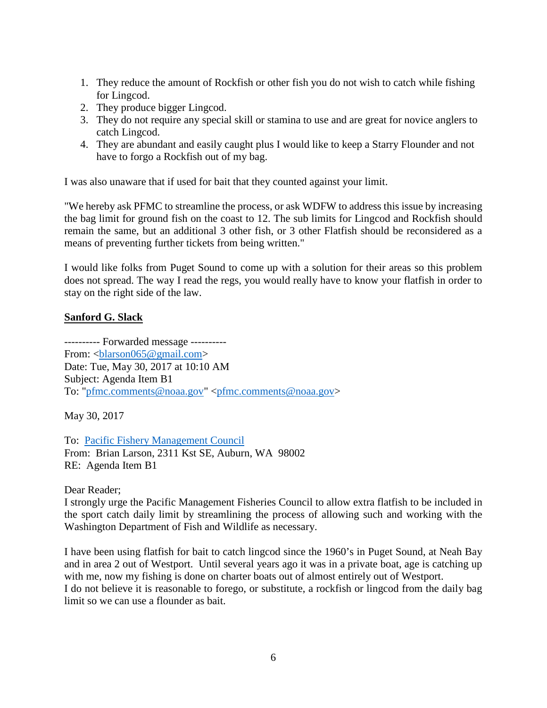- 1. They reduce the amount of Rockfish or other fish you do not wish to catch while fishing for Lingcod.
- 2. They produce bigger Lingcod.
- 3. They do not require any special skill or stamina to use and are great for novice anglers to catch Lingcod.
- 4. They are abundant and easily caught plus I would like to keep a Starry Flounder and not have to forgo a Rockfish out of my bag.

I was also unaware that if used for bait that they counted against your limit.

"We hereby ask PFMC to streamline the process, or ask WDFW to address this issue by increasing the bag limit for ground fish on the coast to 12. The sub limits for Lingcod and Rockfish should remain the same, but an additional 3 other fish, or 3 other Flatfish should be reconsidered as a means of preventing further tickets from being written."

I would like folks from Puget Sound to come up with a solution for their areas so this problem does not spread. The way I read the regs, you would really have to know your flatfish in order to stay on the right side of the law.

## **Sanford G. Slack**

---------- Forwarded message ---------- From: [<blarson065@gmail.com>](mailto:blarson065@gmail.com) Date: Tue, May 30, 2017 at 10:10 AM Subject: Agenda Item B1 To: ["pfmc.comments@noaa.gov"](mailto:pfmc.comments@noaa.gov) [<pfmc.comments@noaa.gov>](mailto:pfmc.comments@noaa.gov)

May 30, 2017

To: [Pacific Fishery Management Council](http://www.pcouncil.org/) From: Brian Larson, 2311 Kst SE, Auburn, WA 98002 RE: Agenda Item B1

Dear Reader;

I strongly urge the Pacific Management Fisheries Council to allow extra flatfish to be included in the sport catch daily limit by streamlining the process of allowing such and working with the Washington Department of Fish and Wildlife as necessary.

I have been using flatfish for bait to catch lingcod since the 1960's in Puget Sound, at Neah Bay and in area 2 out of Westport. Until several years ago it was in a private boat, age is catching up with me, now my fishing is done on charter boats out of almost entirely out of Westport.

I do not believe it is reasonable to forego, or substitute, a rockfish or lingcod from the daily bag limit so we can use a flounder as bait.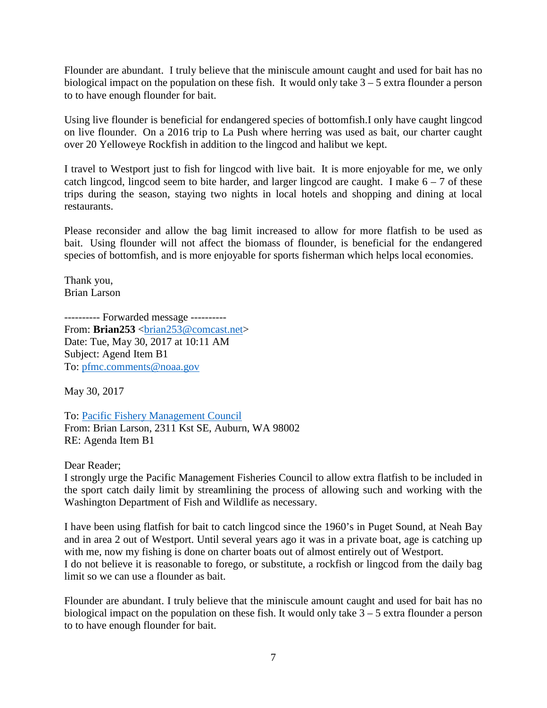Flounder are abundant. I truly believe that the miniscule amount caught and used for bait has no biological impact on the population on these fish. It would only take 3 – 5 extra flounder a person to to have enough flounder for bait.

Using live flounder is beneficial for endangered species of bottomfish.I only have caught lingcod on live flounder. On a 2016 trip to La Push where herring was used as bait, our charter caught over 20 Yelloweye Rockfish in addition to the lingcod and halibut we kept.

I travel to Westport just to fish for lingcod with live bait. It is more enjoyable for me, we only catch lingcod, lingcod seem to bite harder, and larger lingcod are caught. I make  $6 - 7$  of these trips during the season, staying two nights in local hotels and shopping and dining at local restaurants.

Please reconsider and allow the bag limit increased to allow for more flatfish to be used as bait. Using flounder will not affect the biomass of flounder, is beneficial for the endangered species of bottomfish, and is more enjoyable for sports fisherman which helps local economies.

Thank you, Brian Larson

---------- Forwarded message ---------- From: **Brian253** <br/> $\langle \text{brain253} @ \text{concat.net} \rangle$ Date: Tue, May 30, 2017 at 10:11 AM Subject: Agend Item B1 To: [pfmc.comments@noaa.gov](mailto:pfmc.comments@noaa.gov)

May 30, 2017

To: [Pacific Fishery Management Council](http://www.pcouncil.org/) From: Brian Larson, 2311 Kst SE, Auburn, WA 98002 RE: Agenda Item B1

Dear Reader;

I strongly urge the Pacific Management Fisheries Council to allow extra flatfish to be included in the sport catch daily limit by streamlining the process of allowing such and working with the Washington Department of Fish and Wildlife as necessary.

I have been using flatfish for bait to catch lingcod since the 1960's in Puget Sound, at Neah Bay and in area 2 out of Westport. Until several years ago it was in a private boat, age is catching up with me, now my fishing is done on charter boats out of almost entirely out of Westport. I do not believe it is reasonable to forego, or substitute, a rockfish or lingcod from the daily bag limit so we can use a flounder as bait.

Flounder are abundant. I truly believe that the miniscule amount caught and used for bait has no biological impact on the population on these fish. It would only take 3 – 5 extra flounder a person to to have enough flounder for bait.